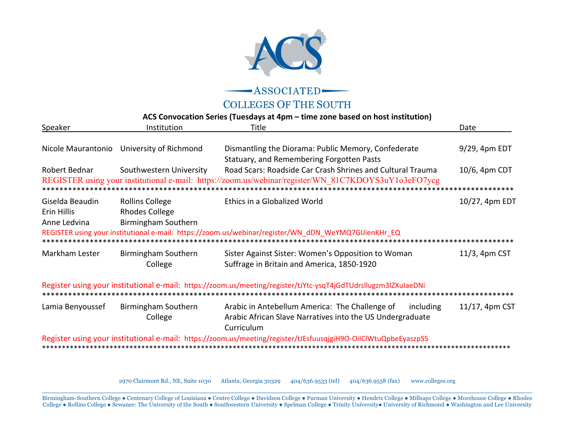

-ASSOCIATED

**COLLEGES OF THE SOUTH** 

## ACS Convocation Series (Tuesdays at 4pm - time zone based on host institution)

| Speaker                                        | Institution                                                            | Title                                                                                                                                                              | Date                          |
|------------------------------------------------|------------------------------------------------------------------------|--------------------------------------------------------------------------------------------------------------------------------------------------------------------|-------------------------------|
|                                                | Nicole Maurantonio University of Richmond                              | Dismantling the Diorama: Public Memory, Confederate<br>Statuary, and Remembering Forgotten Pasts                                                                   | 9/29, 4pm EDT                 |
| Robert Bednar                                  | Southwestern University                                                | Road Scars: Roadside Car Crash Shrines and Cultural Trauma<br>REGISTER using your institutional e-mail: https://zoom.us/webinar/register/WN 81C7KDOYS3uY1o3eFO7ycg | 10/6, 4pm CDT<br>************ |
| Giselda Beaudin<br>Erin Hillis<br>Anne Ledvina | <b>Rollins College</b><br><b>Rhodes College</b><br>Birmingham Southern | Ethics in a Globalized World<br>REGISTER using your institutional e-mail: https://zoom.us/webinar/register/WN_dDN_WeYMQ7GIJienKHr_EQ                               | 10/27, 4pm EDT                |
| Markham Lester                                 | Birmingham Southern<br>College                                         | Sister Against Sister: Women's Opposition to Woman<br>Suffrage in Britain and America, 1850-1920                                                                   | 11/3, 4pm CST                 |
|                                                |                                                                        | Register using your institutional e-mail: https://zoom.us/meeting/register/tJYtc-ysqT4jGdTUdrsllugzm3IZXuIaeDNi                                                    | *******************           |
| Lamia Benyoussef                               | Birmingham Southern<br>College                                         | Arabic in Antebellum America: The Challenge of<br>including<br>Arabic African Slave Narratives into the US Undergraduate<br>Curriculum                             | 11/17, 4pm CST                |
|                                                |                                                                        | Register using your institutional e-mail: https://zoom.us/meeting/register/tJEsfuusqjgiH9O-OiIClWtuQpbeEyaszpS5                                                    |                               |

2970 Clairmont Rd., NE, Suite 1030 Atlanta, Georgia 30329 www.colleges.org 404/636.9533 (tel) 404/636.9558 (fax)

Birmingham-Southern College . Centenary College of Louisiana . Centre College . Davidson College . Furman University . Hendrix College . Millsaps College . Morehouse College . Rhodes College . Rollins College . Sewanee: The University of the South . Southwestern University . Spelman College . Trinity University . University of Richmond . Washington and Lee University